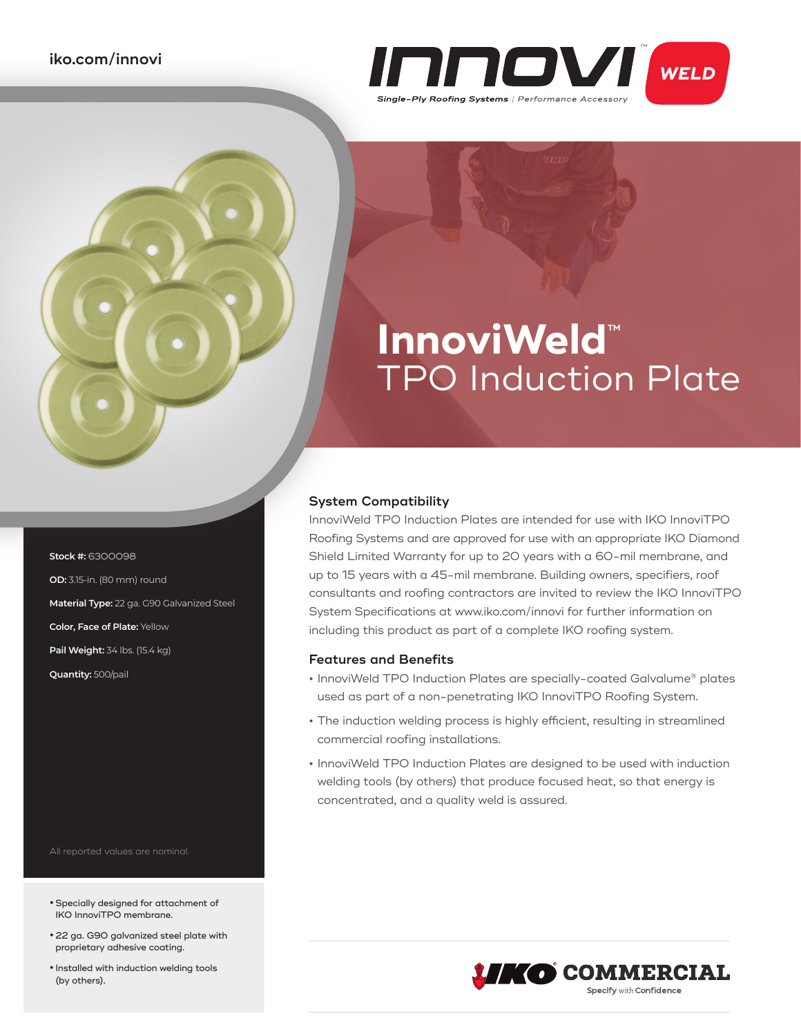

# **InnoviWeld**™ TPO Induction Plate

### **System Compatibility**

InnoviWeld TPO Induction Plates are intended for use with IKO InnoviTPO Roofing Systems and are approved for use with an appropriate IKO Diamond Shield Limited Warranty for up to 20 years with a 60-mil membrane, and up to 15 years with a 45-mil membrane. Building owners, specifiers, roof consultants and roofing contractors are invited to review the IKO InnoviTPO System Specifications at www.iko.com/innovi for further information on including this product as part of a complete IKO roofing system.

### **Features and Benefits**

- **•** InnoviWeld TPO Induction Plates are specially-coated Galvalume® plates used as part of a non-penetrating IKO InnoviTPO Roofing System.
- **•** The induction welding process is highly efficient, resulting in streamlined commercial roofing installations.
- **•** InnoviWeld TPO Induction Plates are designed to be used with induction welding tools (by others) that produce focused heat, so that energy is concentrated, and a quality weld is assured.

- All reported values are nominal.
- **•** Specially designed for attachment of IKO InnoviTPO membrane.
- **•** 22 ga. G90 galvanized steel plate with proprietary adhesive coating.
- **•** Installed with induction welding tools (by others).



**Stock #:** 6300098 **OD:** 3.15-in. (80 mm) round **Material Type:** 22 ga. G90 Galvanized Steel **Color, Face of Plate:** Yellow **Pail Weight:** 34 lbs. (15.4 kg) **Quantity:** 500/pail